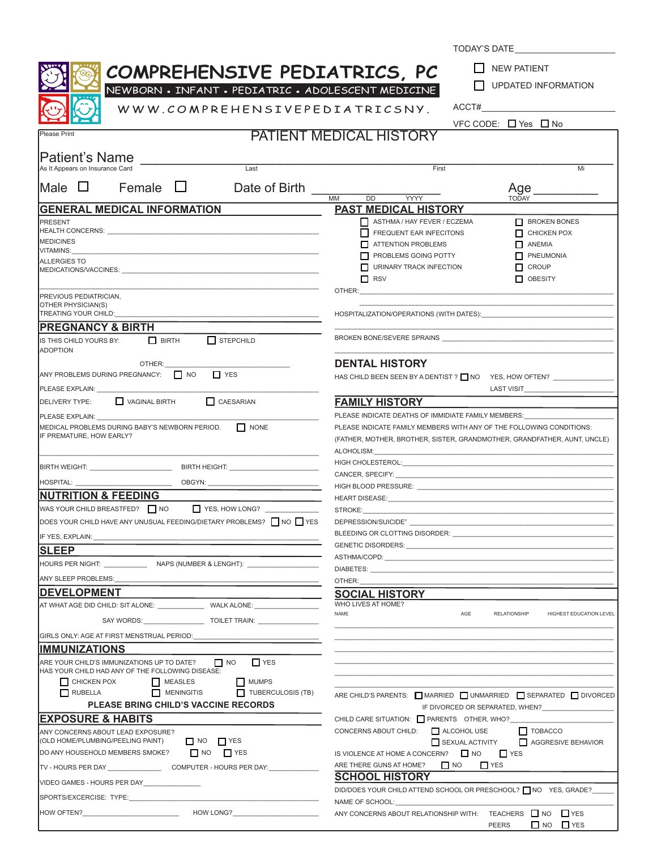|                                                                                                                                                                                                                                | TODAY'S DATE                                                                                                                                                   |
|--------------------------------------------------------------------------------------------------------------------------------------------------------------------------------------------------------------------------------|----------------------------------------------------------------------------------------------------------------------------------------------------------------|
|                                                                                                                                                                                                                                | <b>NEW PATIENT</b>                                                                                                                                             |
| COMPREHENSIVE PEDIATRICS, PC                                                                                                                                                                                                   | I I UPDATED INFORMATION                                                                                                                                        |
| NEWBORN • INFANT • PEDIATRIC • ADOLESCENT MEDICINE<br>WWW.COMPREHENSIVEPEDIATRICSNY.                                                                                                                                           | $ACCT\#$                                                                                                                                                       |
|                                                                                                                                                                                                                                | VFC CODE: $\Box$ Yes $\Box$ No                                                                                                                                 |
| Please Print                                                                                                                                                                                                                   | <b>PATIENT MEDICAL HISTORY</b>                                                                                                                                 |
|                                                                                                                                                                                                                                |                                                                                                                                                                |
| Patient's Name<br>Last<br>As It Appears on Insurance Card                                                                                                                                                                      | First<br>Mi                                                                                                                                                    |
|                                                                                                                                                                                                                                |                                                                                                                                                                |
| Male $\Box$<br>Female $\Box$<br>Date of Birth                                                                                                                                                                                  | Age<br>$\overline{DD}$<br><b>YYYY</b><br>$\overline{\text{MM}}$<br><b>TODAY</b>                                                                                |
| <b>GENERAL MEDICAL INFORMATION</b>                                                                                                                                                                                             | <b>PAST MEDICAL HISTORY</b>                                                                                                                                    |
| PRESENT                                                                                                                                                                                                                        | <b>BROKEN BONES</b><br>ASTHMA / HAY FEVER / ECZEMA                                                                                                             |
|                                                                                                                                                                                                                                | FREQUENT EAR INFECITONS<br>CHICKEN POX                                                                                                                         |
| <b>MEDICINES</b><br><b>VITAMINS:</b>                                                                                                                                                                                           | ATTENTION PROBLEMS<br>$\Box$ ANEMIA                                                                                                                            |
| <b>ALLERGIES TO</b>                                                                                                                                                                                                            | PROBLEMS GOING POTTY<br><b>NEUMONIA</b><br>$\Box$ CROUP<br>URINARY TRACK INFECTION                                                                             |
| MEDICATIONS/VACCINES: WE ARREST AND THE RESIDENCE OF A STATE OF A STATE OF A STATE OF A STATE OF A STATE OF A STATE OF A STATE OF A STATE OF A STATE OF A STATE OF A STATE OF A STATE OF A STATE OF A STATE OF A STATE OF A ST | OBESITY<br>$\Box$ RSV                                                                                                                                          |
|                                                                                                                                                                                                                                | OTHER:                                                                                                                                                         |
| PREVIOUS PEDIATRICIAN,<br>OTHER PHYSICIAN(S)                                                                                                                                                                                   |                                                                                                                                                                |
| TREATING YOUR CHILD:                                                                                                                                                                                                           |                                                                                                                                                                |
| <b>PREGNANCY &amp; BIRTH</b>                                                                                                                                                                                                   |                                                                                                                                                                |
| $\Box$ BIRTH<br>$\prod$ STEPCHILD<br>IS THIS CHILD YOURS BY:<br><b>ADOPTION</b>                                                                                                                                                |                                                                                                                                                                |
| OTHER:                                                                                                                                                                                                                         | <b>DENTAL HISTORY</b>                                                                                                                                          |
| $\Box$ NO<br>$\Box$ YES<br>ANY PROBLEMS DURING PREGNANCY:                                                                                                                                                                      | HAS CHILD BEEN SEEN BY A DENTIST ? NO YES, HOW OFTEN?                                                                                                          |
| PLEASE EXPLAIN:                                                                                                                                                                                                                | <b>LAST VISIT</b>                                                                                                                                              |
| <b>CAESARIAN</b><br>VAGINAL BIRTH<br><b>DELIVERY TYPE:</b>                                                                                                                                                                     | <b>FAMILY HISTORY</b>                                                                                                                                          |
| PLEASE EXPLAIN: <b>FLEASE</b>                                                                                                                                                                                                  | PLEASE INDICATE DEATHS OF IMMIDIATE FAMILY MEMBERS:                                                                                                            |
| $\Box$ NONE<br>MEDICAL PROBLEMS DURING BABY'S NEWBORN PERIOD.<br>IF PREMATURE, HOW EARLY?                                                                                                                                      | PLEASE INDICATE FAMILY MEMBERS WITH ANY OF THE FOLLOWING CONDITIONS:<br>(FATHER, MOTHER, BROTHER, SISTER, GRANDMOTHER, GRANDFATHER, AUNT, UNCLE)<br>ALOHOLISM: |
|                                                                                                                                                                                                                                |                                                                                                                                                                |
|                                                                                                                                                                                                                                |                                                                                                                                                                |
| <b>NUTRITION &amp; FEEDING</b>                                                                                                                                                                                                 |                                                                                                                                                                |
| WAS YOUR CHILD BREASTFED? NO<br>YES, HOW LONG?                                                                                                                                                                                 | STROKE:                                                                                                                                                        |
| DOES YOUR CHILD HAVE ANY UNUSUAL FEEDING/DIETARY PROBLEMS? □ NO □ YES                                                                                                                                                          | DEPRESSION/SUICIDE"                                                                                                                                            |
| IF YES, EXPLAIN:                                                                                                                                                                                                               | BLEEDING OR CLOTTING DISORDER:                                                                                                                                 |
| <b>ISLEEP</b>                                                                                                                                                                                                                  |                                                                                                                                                                |
|                                                                                                                                                                                                                                |                                                                                                                                                                |
|                                                                                                                                                                                                                                |                                                                                                                                                                |
| ANY SLEEP PROBLEMS:<br><b>DEVELOPMENT</b>                                                                                                                                                                                      | OTHER:                                                                                                                                                         |
| AT WHAT AGE DID CHILD: SIT ALONE: ________________ WALK ALONE: _________________                                                                                                                                               | <b>SOCIAL HISTORY</b><br>WHO LIVES AT HOME?                                                                                                                    |
|                                                                                                                                                                                                                                | NAME<br>AGE<br><b>RELATIONSHIP</b><br>HIGHEST EDUCATION LEVEL                                                                                                  |
|                                                                                                                                                                                                                                |                                                                                                                                                                |
| GIRLS ONLY: AGE AT FIRST MENSTRUAL PERIOD:                                                                                                                                                                                     |                                                                                                                                                                |
| <b>IMMUNIZATIONS</b>                                                                                                                                                                                                           |                                                                                                                                                                |
| ARE YOUR CHILD'S IMMUNIZATIONS UP TO DATE? $\Box$ NO<br>$\Gamma$ YES<br>HAS YOUR CHILD HAD ANY OF THE FOLLOWING DISEASE:                                                                                                       |                                                                                                                                                                |
| CHICKEN POX<br>MEASLES<br>MUMPS                                                                                                                                                                                                |                                                                                                                                                                |
| $\Box$ RUBELLA<br>$M$ MENINGITIS<br>TUBERCULOSIS (TB)                                                                                                                                                                          | ARE CHILD'S PARENTS: MARRIED UNMARRIED SEPARATED DIVORCED                                                                                                      |
| <b>PLEASE BRING CHILD'S VACCINE RECORDS</b>                                                                                                                                                                                    | IF DIVORCED OR SEPARATED, WHEN?                                                                                                                                |
| <b>EXPOSURE &amp; HABITS</b>                                                                                                                                                                                                   | CHILD CARE SITUATION: PARENTS OTHER, WHO?                                                                                                                      |
| ANY CONCERNS ABOUT LEAD EXPOSURE?<br>(OLD HOME/PLUMBING/PEELING PAINT)<br>$\Box$ NO $\Box$ YES                                                                                                                                 | CONCERNS ABOUT CHILD: ALCOHOL USE<br>$\Box$ TOBACCO<br>SEXUAL ACTIVITY                                                                                         |
| DO ANY HOUSEHOLD MEMBERS SMOKE?<br>$N$ NO $N$ YES                                                                                                                                                                              | AGGRESIVE BEHAVIOR<br>IS VIOLENCE AT HOME A CONCERN? $\Box$ NO $\Box$ YES                                                                                      |
| TV - HOURS PER DAY _______________________COMPUTER - HOURS PER DAY: ____________                                                                                                                                               | $\Box$ NO<br>ARE THERE GUNS AT HOME?<br>$\Box$ YES                                                                                                             |
|                                                                                                                                                                                                                                | <b>SCHOOL HISTORY</b>                                                                                                                                          |
| VIDEO GAMES - HOURS PER DAY _______________                                                                                                                                                                                    | DID/DOES YOUR CHILD ATTEND SCHOOL OR PRESCHOOL? □ NO YES, GRADE?                                                                                               |
| SPORTS/EXCERCISE: TYPE:                                                                                                                                                                                                        | NAME OF SCHOOL:                                                                                                                                                |
|                                                                                                                                                                                                                                | ANY CONCERNS ABOUT RELATIONSHIP WITH: TEACHERS NO PYES<br>$\Box$ NO $\Box$ YES<br><b>PEERS</b>                                                                 |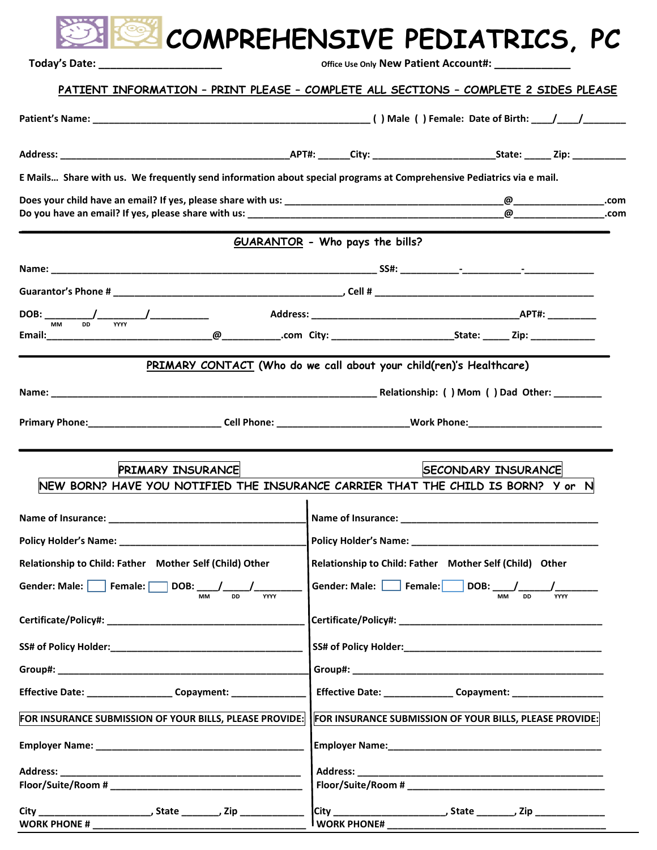|                                                                                                                      | COMPREHENSIVE PEDIATRICS, PC                                                                                   |
|----------------------------------------------------------------------------------------------------------------------|----------------------------------------------------------------------------------------------------------------|
| Today's Date: ___________                                                                                            | Office Use Only New Patient Account#: ___________                                                              |
|                                                                                                                      | PATIENT INFORMATION - PRINT PLEASE - COMPLETE ALL SECTIONS - COMPLETE 2 SIDES PLEASE                           |
|                                                                                                                      |                                                                                                                |
|                                                                                                                      |                                                                                                                |
| E Mails Share with us. We frequently send information about special programs at Comprehensive Pediatrics via e mail. |                                                                                                                |
|                                                                                                                      |                                                                                                                |
|                                                                                                                      | <b>GUARANTOR</b> - Who pays the bills?                                                                         |
|                                                                                                                      |                                                                                                                |
|                                                                                                                      |                                                                                                                |
|                                                                                                                      |                                                                                                                |
|                                                                                                                      |                                                                                                                |
|                                                                                                                      | PRIMARY CONTACT (Who do we call about your child(ren)'s Healthcare)                                            |
|                                                                                                                      |                                                                                                                |
|                                                                                                                      |                                                                                                                |
| <b>PRIMARY INSURANCE</b>                                                                                             | <b>SECONDARY INSURANCE</b><br>NEW BORN? HAVE YOU NOTIFIED THE INSURANCE CARRIER THAT THE CHILD IS BORN? Y or N |
|                                                                                                                      |                                                                                                                |
|                                                                                                                      |                                                                                                                |
| Relationship to Child: Father Mother Self (Child) Other                                                              | Relationship to Child: Father Mother Self (Child) Other                                                        |
| Gender: Male: $\vert$ Female: $\vert$<br>DOB:<br><b>DD</b><br><b>YYYY</b><br><b>MM</b>                               | Gender: Male: Female:   DOB: /<br><b>MM</b><br><b>YYYY</b><br><b>DD</b>                                        |
|                                                                                                                      | Certificate/Policy#: New York 2014 19:00 19:00 19:00 19:00 19:00 19:00 19:00 19:00 19:00 19:00 19:00 19:00 19: |
|                                                                                                                      |                                                                                                                |
|                                                                                                                      |                                                                                                                |
| Effective Date: ____________________ Copayment: ______________                                                       | Effective Date: _______________ Copayment: __________________                                                  |
| FOR INSURANCE SUBMISSION OF YOUR BILLS, PLEASE PROVIDE:                                                              | FOR INSURANCE SUBMISSION OF YOUR BILLS, PLEASE PROVIDE:                                                        |
|                                                                                                                      |                                                                                                                |
|                                                                                                                      |                                                                                                                |
|                                                                                                                      | Floor/Suite/Room #                                                                                             |

**City \_\_\_\_\_\_\_\_\_\_\_\_\_\_\_\_\_\_\_\_\_, State \_\_\_\_\_\_\_, Zip \_\_\_\_\_\_\_\_\_\_\_\_ City \_\_\_\_\_\_\_\_\_\_\_\_\_\_\_\_\_\_\_\_\_, State \_\_\_\_\_\_\_, Zip \_\_\_\_\_\_\_\_\_\_\_\_\_ WORK PHONE # \_\_\_\_\_\_\_\_\_\_\_\_\_\_\_\_\_\_\_\_\_\_\_\_\_\_\_\_\_\_\_\_\_\_\_\_\_\_\_\_ WORK PHONE# \_\_\_\_\_\_\_\_\_\_\_\_\_\_\_\_\_\_\_\_\_\_\_\_\_\_\_\_\_\_\_\_\_\_\_\_\_\_\_\_\_**